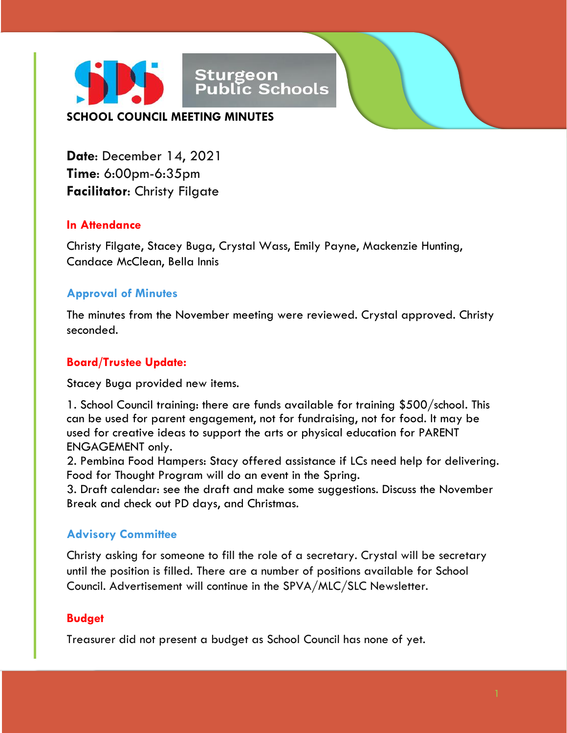

**Date**: December 14, 2021 **Time**: 6:00pm-6:35pm **Facilitator**: Christy Filgate

### **In Attendance**

Christy Filgate, Stacey Buga, Crystal Wass, Emily Payne, Mackenzie Hunting, Candace McClean, Bella Innis

## **Approval of Minutes**

The minutes from the November meeting were reviewed. Crystal approved. Christy seconded.

### **Board/Trustee Update:**

Stacey Buga provided new items.

1. School Council training: there are funds available for training \$500/school. This can be used for parent engagement, not for fundraising, not for food. It may be used for creative ideas to support the arts or physical education for PARENT ENGAGEMENT only.

2. Pembina Food Hampers: Stacy offered assistance if LCs need help for delivering. Food for Thought Program will do an event in the Spring.

3. Draft calendar: see the draft and make some suggestions. Discuss the November Break and check out PD days, and Christmas.

## **Advisory Committee**

Christy asking for someone to fill the role of a secretary. Crystal will be secretary until the position is filled. There are a number of positions available for School Council. Advertisement will continue in the SPVA/MLC/SLC Newsletter.

### **Budget**

Treasurer did not present a budget as School Council has none of yet.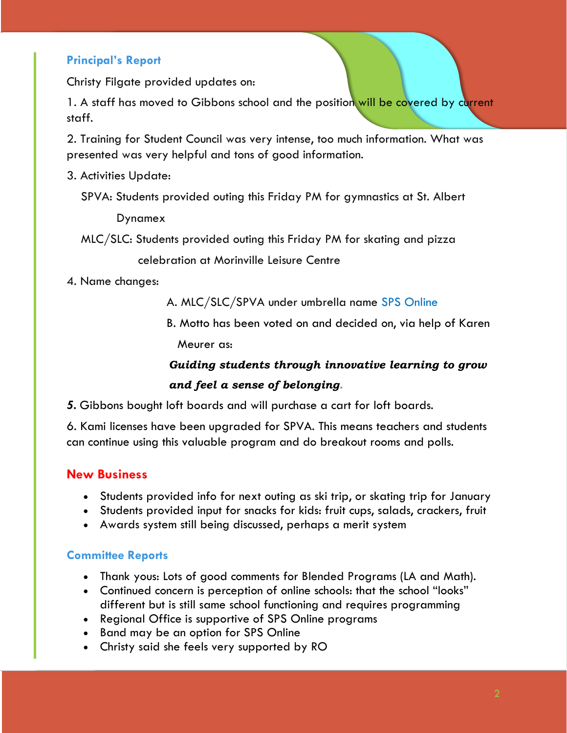## **Principal's Report**

Christy Filgate provided updates on:

1. A staff has moved to Gibbons school and the position will be covered by current staff.

2. Training for Student Council was very intense, too much information. What was presented was very helpful and tons of good information.

- 3. Activities Update:
	- SPVA: Students provided outing this Friday PM for gymnastics at St. Albert

Dynamex

MLC/SLC: Students provided outing this Friday PM for skating and pizza

celebration at Morinville Leisure Centre

4. Name changes:

A. MLC/SLC/SPVA under umbrella name SPS Online

 B. Motto has been voted on and decided on, via help of Karen Meurer as:

# *Guiding students through innovative learning to grow and feel a sense of belonging.*

*5.* Gibbons bought loft boards and will purchase a cart for loft boards.

6. Kami licenses have been upgraded for SPVA. This means teachers and students can continue using this valuable program and do breakout rooms and polls.

### **New Business**

- Students provided info for next outing as ski trip, or skating trip for January
- Students provided input for snacks for kids: fruit cups, salads, crackers, fruit
- Awards system still being discussed, perhaps a merit system

#### **Committee Reports**

- Thank yous: Lots of good comments for Blended Programs (LA and Math).
- Continued concern is perception of online schools: that the school "looks" different but is still same school functioning and requires programming
- Regional Office is supportive of SPS Online programs
- Band may be an option for SPS Online
- Christy said she feels very supported by RO